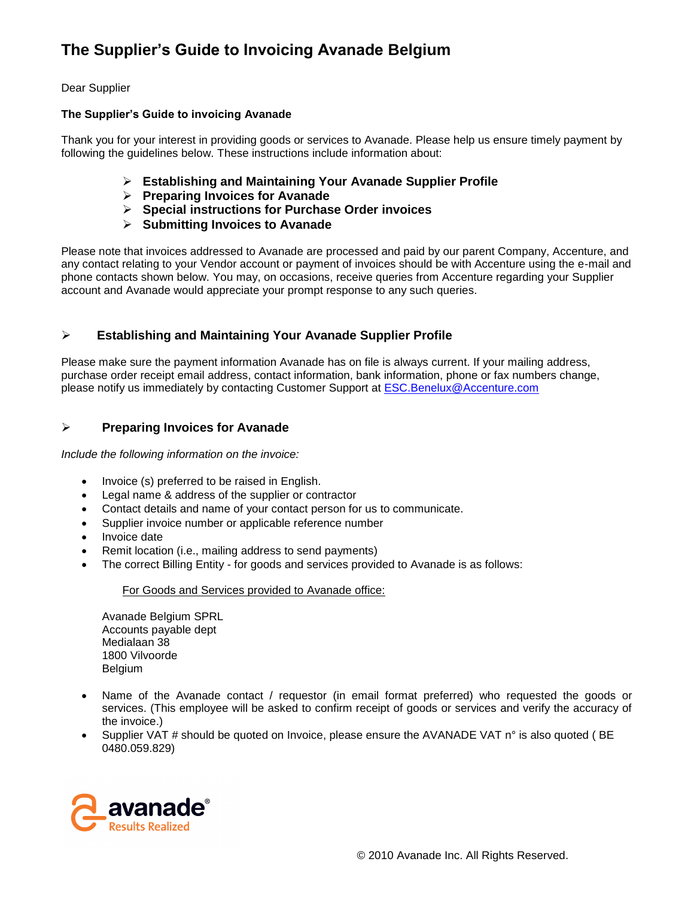# **The Supplier's Guide to Invoicing Avanade Belgium**

## Dear Supplier

## **The Supplier's Guide to invoicing Avanade**

Thank you for your interest in providing goods or services to Avanade. Please help us ensure timely payment by following the guidelines below. These instructions include information about:

- **Establishing and Maintaining Your Avanade Supplier Profile**
- **Preparing Invoices for Avanade**
- **Special instructions for Purchase Order invoices**
- **Submitting Invoices to Avanade**

Please note that invoices addressed to Avanade are processed and paid by our parent Company, Accenture, and any contact relating to your Vendor account or payment of invoices should be with Accenture using the e-mail and phone contacts shown below. You may, on occasions, receive queries from Accenture regarding your Supplier account and Avanade would appreciate your prompt response to any such queries.

# **Establishing and Maintaining Your Avanade Supplier Profile**

Please make sure the payment information Avanade has on file is always current. If your mailing address, purchase order receipt email address, contact information, bank information, phone or fax numbers change, please notify us immediately by contacting Customer Support at [ESC.Benelux@Accenture.com](mailto:ESC.Benelux@Accenture.com)

# **Preparing Invoices for Avanade**

*Include the following information on the invoice:*

- Invoice (s) preferred to be raised in English.
- Legal name & address of the supplier or contractor
- Contact details and name of your contact person for us to communicate.
- Supplier invoice number or applicable reference number
- Invoice date
- Remit location (i.e., mailing address to send payments)
- The correct Billing Entity for goods and services provided to Avanade is as follows:

#### For Goods and Services provided to Avanade office:

Avanade Belgium SPRL Accounts payable dept Medialaan 38 1800 Vilvoorde Belgium

- Name of the Avanade contact / requestor (in email format preferred) who requested the goods or services. (This employee will be asked to confirm receipt of goods or services and verify the accuracy of the invoice.)
- Supplier VAT # should be quoted on Invoice, please ensure the AVANADE VAT n° is also quoted (BE 0480.059.829)

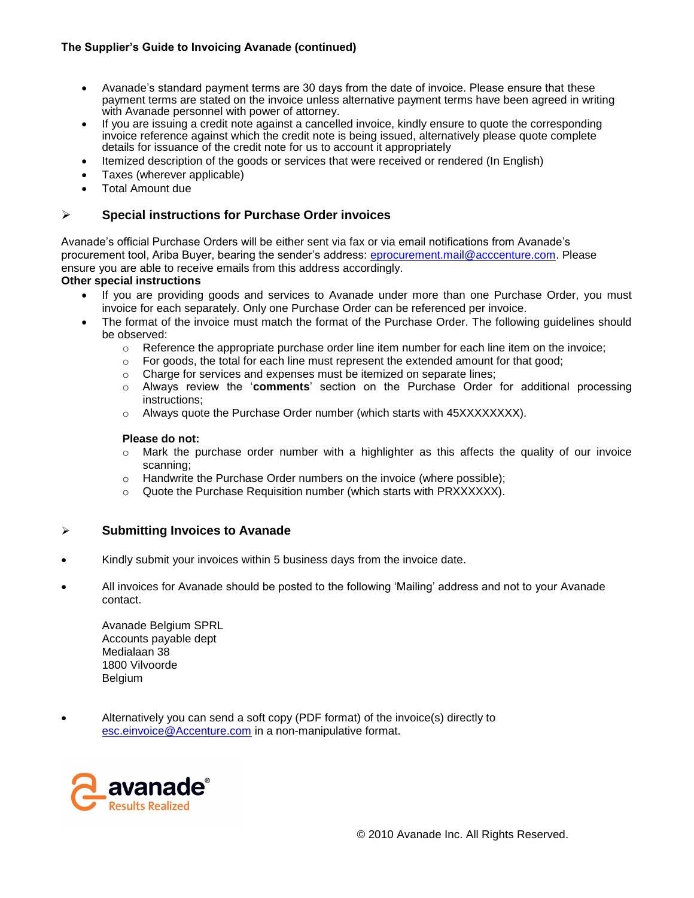## **The Supplier's Guide to Invoicing Avanade (continued)**

- Avanade's standard payment terms are 30 days from the date of invoice. Please ensure that these payment terms are stated on the invoice unless alternative payment terms have been agreed in writing with Avanade personnel with power of attorney.
- If you are issuing a credit note against a cancelled invoice, kindly ensure to quote the corresponding invoice reference against which the credit note is being issued, alternatively please quote complete details for issuance of the credit note for us to account it appropriately
- Itemized description of the goods or services that were received or rendered (In English)
- Taxes (wherever applicable)
- Total Amount due

## **Special instructions for Purchase Order invoices**

Avanade's official Purchase Orders will be either sent via fax or via email notifications from Avanade's procurement tool, Ariba Buyer, bearing the sender's address: [eprocurement.mail@acccenture.com.](mailto:eprocurement.mail@acccenture.com) Please ensure you are able to receive emails from this address accordingly.

#### **Other special instructions**

- If you are providing goods and services to Avanade under more than one Purchase Order, you must invoice for each separately. Only one Purchase Order can be referenced per invoice.
- The format of the invoice must match the format of the Purchase Order. The following guidelines should be observed:
	- $\circ$  Reference the appropriate purchase order line item number for each line item on the invoice;
	- $\circ$  For goods, the total for each line must represent the extended amount for that good;
	- o Charge for services and expenses must be itemized on separate lines;
	- o Always review the '**comments**' section on the Purchase Order for additional processing instructions;
	- $\circ$  Always quote the Purchase Order number (which starts with 45XXXXXXXX).

#### **Please do not:**

- $\circ$  Mark the purchase order number with a highlighter as this affects the quality of our invoice scanning;
- $\circ$  Handwrite the Purchase Order numbers on the invoice (where possible);
- $\circ$  Quote the Purchase Requisition number (which starts with PRXXXXXX).

## **Submitting Invoices to Avanade**

- Kindly submit your invoices within 5 business days from the invoice date.
- All invoices for Avanade should be posted to the following 'Mailing' address and not to your Avanade contact.

Avanade Belgium SPRL Accounts payable dept Medialaan 38 1800 Vilvoorde Belgium

 Alternatively you can send a soft copy (PDF format) of the invoice(s) directly to [esc.einvoice@Accenture.com](mailto:esc.einvoice@Accenture.com) in a non-manipulative format.